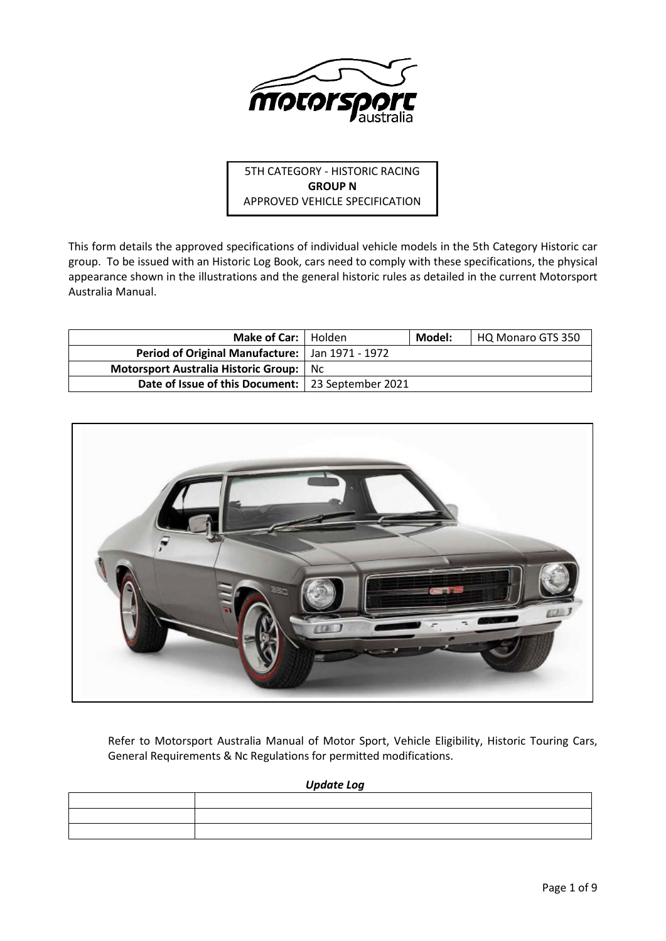

5TH CATEGORY - HISTORIC RACING **GROUP N** APPROVED VEHICLE SPECIFICATION

This form details the approved specifications of individual vehicle models in the 5th Category Historic car group. To be issued with an Historic Log Book, cars need to comply with these specifications, the physical appearance shown in the illustrations and the general historic rules as detailed in the current Motorsport Australia Manual.

| Make of Car:   Holden                               |     | Model: | HQ Monaro GTS 350 |
|-----------------------------------------------------|-----|--------|-------------------|
| Period of Original Manufacture:   Jan 1971 - 1972   |     |        |                   |
| Motorsport Australia Historic Group:                | Nc. |        |                   |
| Date of Issue of this Document:   23 September 2021 |     |        |                   |



Refer to Motorsport Australia Manual of Motor Sport, Vehicle Eligibility, Historic Touring Cars, General Requirements & Nc Regulations for permitted modifications.

*Update Log*

| the contract of the contract of the contract of the contract of the contract of |  |
|---------------------------------------------------------------------------------|--|
|                                                                                 |  |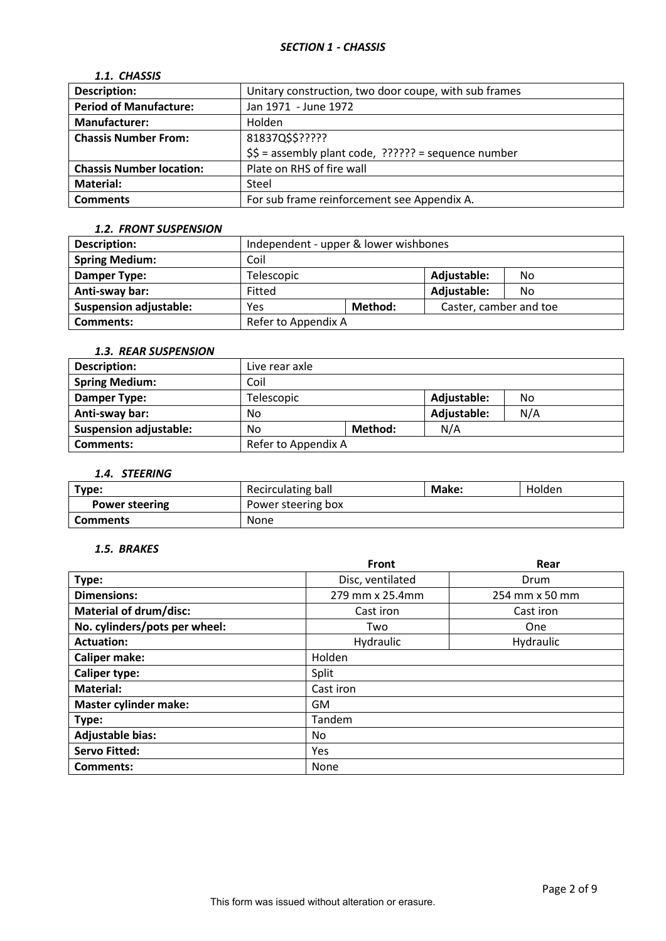# *SECTION 1 - CHASSIS*

# *1.1. CHASSIS*

| <b>Description:</b>             | Unitary construction, two door coupe, with sub frames  |
|---------------------------------|--------------------------------------------------------|
| <b>Period of Manufacture:</b>   | Jan 1971 - June 1972                                   |
| <b>Manufacturer:</b>            | Holden                                                 |
| <b>Chassis Number From:</b>     | 81837Q\$\$?????                                        |
|                                 | $$5 =$ assembly plant code, $??????$ = sequence number |
| <b>Chassis Number location:</b> | Plate on RHS of fire wall                              |
| <b>Material:</b>                | Steel                                                  |
| <b>Comments</b>                 | For sub frame reinforcement see Appendix A.            |

### *1.2. FRONT SUSPENSION*

| Description:                  | Independent - upper & lower wishbones |  |                        |    |
|-------------------------------|---------------------------------------|--|------------------------|----|
| <b>Spring Medium:</b>         | Coil                                  |  |                        |    |
| Damper Type:                  | Telescopic                            |  | Adjustable:            | No |
| Anti-sway bar:                | Fitted                                |  | Adjustable:            | No |
| <b>Suspension adjustable:</b> | Method:<br>Yes                        |  | Caster, camber and toe |    |
| <b>Comments:</b>              | Refer to Appendix A                   |  |                        |    |

### *1.3. REAR SUSPENSION*

| <b>Description:</b>           | Live rear axle                  |  |     |     |
|-------------------------------|---------------------------------|--|-----|-----|
| <b>Spring Medium:</b>         | Coil                            |  |     |     |
| Damper Type:                  | Adjustable:<br>Telescopic<br>No |  |     |     |
| Anti-sway bar:                | No                              |  |     | N/A |
| <b>Suspension adjustable:</b> | Method:<br>No                   |  | N/A |     |
| Comments:                     | Refer to Appendix A             |  |     |     |

## *1.4. STEERING*

| Type:                 | Recirculating ball | Make: | Holden |
|-----------------------|--------------------|-------|--------|
| <b>Power steering</b> | Power steering box |       |        |
| <b>Comments</b>       | None               |       |        |

# *1.5. BRAKES*

|                               | <b>Front</b>     | Rear           |  |  |
|-------------------------------|------------------|----------------|--|--|
| Type:                         | Disc, ventilated | Drum           |  |  |
| <b>Dimensions:</b>            | 279 mm x 25.4mm  | 254 mm x 50 mm |  |  |
| <b>Material of drum/disc:</b> | Cast iron        | Cast iron      |  |  |
| No. cylinders/pots per wheel: | Two              | One            |  |  |
| <b>Actuation:</b>             | Hydraulic        | Hydraulic      |  |  |
| <b>Caliper make:</b>          | Holden           |                |  |  |
| <b>Caliper type:</b>          | Split            |                |  |  |
| <b>Material:</b>              | Cast iron        |                |  |  |
| <b>Master cylinder make:</b>  | <b>GM</b>        |                |  |  |
| Type:                         | Tandem           |                |  |  |
| <b>Adjustable bias:</b>       | No.              |                |  |  |
| <b>Servo Fitted:</b>          | Yes              |                |  |  |
| <b>Comments:</b>              | None             |                |  |  |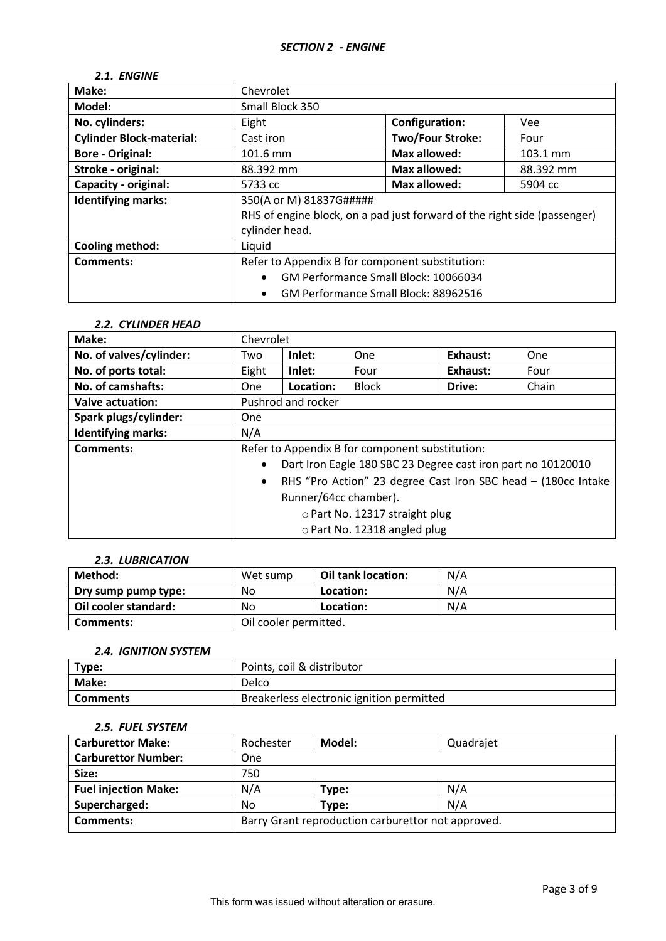# *2.1. ENGINE*

| Make:                           | Chevrolet                                                                |                         |            |  |
|---------------------------------|--------------------------------------------------------------------------|-------------------------|------------|--|
| Model:                          | Small Block 350                                                          |                         |            |  |
| No. cylinders:                  | Eight                                                                    | Configuration:          | <b>Vee</b> |  |
| <b>Cylinder Block-material:</b> | Cast iron                                                                | <b>Two/Four Stroke:</b> | Four       |  |
| <b>Bore - Original:</b>         | 101.6 mm                                                                 | <b>Max allowed:</b>     | 103.1 mm   |  |
| Stroke - original:              | 88.392 mm                                                                | Max allowed:            | 88.392 mm  |  |
| Capacity - original:            | 5733 cc                                                                  | Max allowed:            | 5904 cc    |  |
| <b>Identifying marks:</b>       | 350(A or M) 81837G#####                                                  |                         |            |  |
|                                 | RHS of engine block, on a pad just forward of the right side (passenger) |                         |            |  |
|                                 | cylinder head.                                                           |                         |            |  |
| <b>Cooling method:</b>          | Liquid                                                                   |                         |            |  |
| <b>Comments:</b>                | Refer to Appendix B for component substitution:                          |                         |            |  |
|                                 | GM Performance Small Block: 10066034<br>$\bullet$                        |                         |            |  |
|                                 | GM Performance Small Block: 88962516<br>$\bullet$                        |                         |            |  |

#### *2.2. CYLINDER HEAD*

| Make:                     | Chevrolet                                                                  |                    |              |          |            |
|---------------------------|----------------------------------------------------------------------------|--------------------|--------------|----------|------------|
| No. of valves/cylinder:   | Two                                                                        | Inlet:             | One          | Exhaust: | <b>One</b> |
| No. of ports total:       | Eight                                                                      | Inlet:             | Four         | Exhaust: | Four       |
| No. of camshafts:         | <b>One</b>                                                                 | Location:          | <b>Block</b> | Drive:   | Chain      |
| Valve actuation:          |                                                                            | Pushrod and rocker |              |          |            |
| Spark plugs/cylinder:     | <b>One</b>                                                                 |                    |              |          |            |
| <b>Identifying marks:</b> | N/A                                                                        |                    |              |          |            |
| <b>Comments:</b>          | Refer to Appendix B for component substitution:                            |                    |              |          |            |
|                           | Dart Iron Eagle 180 SBC 23 Degree cast iron part no 10120010<br>$\bullet$  |                    |              |          |            |
|                           | RHS "Pro Action" 23 degree Cast Iron SBC head - (180cc Intake<br>$\bullet$ |                    |              |          |            |
|                           | Runner/64cc chamber).                                                      |                    |              |          |            |
|                           | o Part No. 12317 straight plug                                             |                    |              |          |            |
|                           | o Part No. 12318 angled plug                                               |                    |              |          |            |

#### *2.3. LUBRICATION*

| Method:              | Wet sump              | <b>Oil tank location:</b> | N/A |
|----------------------|-----------------------|---------------------------|-----|
| Dry sump pump type:  | No                    | Location:                 | N/A |
| Oil cooler standard: | No                    | Location:                 | N/A |
| Comments:            | Oil cooler permitted. |                           |     |

#### *2.4. IGNITION SYSTEM*

| Type:           | Points, coil & distributor                |  |
|-----------------|-------------------------------------------|--|
| <b>Make:</b>    | Delco                                     |  |
| <b>Comments</b> | Breakerless electronic ignition permitted |  |

### *2.5. FUEL SYSTEM*

| <b>Carburettor Make:</b>    | Rochester                                          | Model: | Quadrajet |
|-----------------------------|----------------------------------------------------|--------|-----------|
| <b>Carburettor Number:</b>  | One                                                |        |           |
| Size:                       | 750                                                |        |           |
| <b>Fuel injection Make:</b> | N/A                                                | Type:  | N/A       |
| Supercharged:               | No                                                 | Type:  | N/A       |
| <b>Comments:</b>            | Barry Grant reproduction carburettor not approved. |        |           |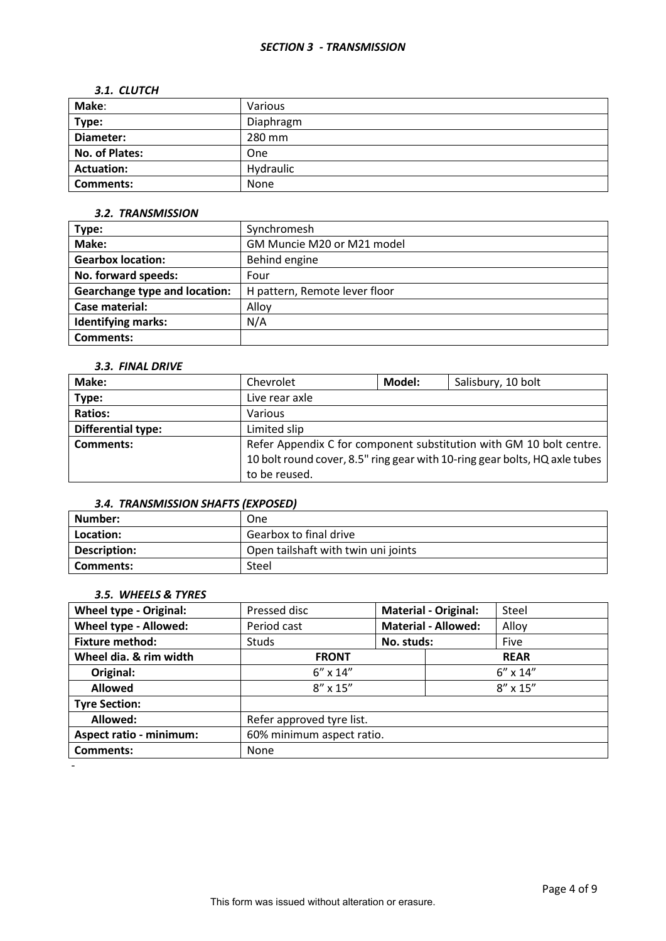#### *SECTION 3 - TRANSMISSION*

#### *3.1. CLUTCH*

| Make:             | Various   |
|-------------------|-----------|
| Type:             | Diaphragm |
| Diameter:         | 280 mm    |
| No. of Plates:    | One       |
| <b>Actuation:</b> | Hydraulic |
| <b>Comments:</b>  | None      |

#### *3.2. TRANSMISSION*

| Type:                                | Synchromesh                   |
|--------------------------------------|-------------------------------|
| Make:                                | GM Muncie M20 or M21 model    |
| <b>Gearbox location:</b>             | Behind engine                 |
| No. forward speeds:                  | Four                          |
| <b>Gearchange type and location:</b> | H pattern, Remote lever floor |
| Case material:                       | Alloy                         |
| <b>Identifying marks:</b>            | N/A                           |
| Comments:                            |                               |

### *3.3. FINAL DRIVE*

| Make:              | Chevrolet                                                                  | Model: | Salisbury, 10 bolt |  |  |
|--------------------|----------------------------------------------------------------------------|--------|--------------------|--|--|
| Type:              | Live rear axle                                                             |        |                    |  |  |
| <b>Ratios:</b>     | Various                                                                    |        |                    |  |  |
| Differential type: | Limited slip                                                               |        |                    |  |  |
| Comments:          | Refer Appendix C for component substitution with GM 10 bolt centre.        |        |                    |  |  |
|                    | 10 bolt round cover, 8.5" ring gear with 10-ring gear bolts, HQ axle tubes |        |                    |  |  |
|                    | to be reused.                                                              |        |                    |  |  |

### *3.4. TRANSMISSION SHAFTS (EXPOSED)*

| Number:      | One                                 |
|--------------|-------------------------------------|
| Location:    | Gearbox to final drive              |
| Description: | Open tailshaft with twin uni joints |
| Comments:    | Steel                               |

# *3.5. WHEELS & TYRES*

| <b>Wheel type - Original:</b>  | Pressed disc              | <b>Material - Original:</b> |                            | Steel       |  |
|--------------------------------|---------------------------|-----------------------------|----------------------------|-------------|--|
| Wheel type - Allowed:          | Period cast               |                             | <b>Material - Allowed:</b> | Alloy       |  |
| <b>Fixture method:</b>         | <b>Studs</b>              | No. studs:                  |                            | Five        |  |
| Wheel dia. & rim width         | <b>FRONT</b>              |                             |                            | <b>REAR</b> |  |
| Original:                      | $6'' \times 14''$         |                             | $6'' \times 14''$          |             |  |
| <b>Allowed</b>                 | $8'' \times 15''$         |                             | $8'' \times 15''$          |             |  |
| <b>Tyre Section:</b>           |                           |                             |                            |             |  |
| Allowed:                       | Refer approved tyre list. |                             |                            |             |  |
| <b>Aspect ratio - minimum:</b> | 60% minimum aspect ratio. |                             |                            |             |  |
| <b>Comments:</b>               | None                      |                             |                            |             |  |
|                                |                           |                             |                            |             |  |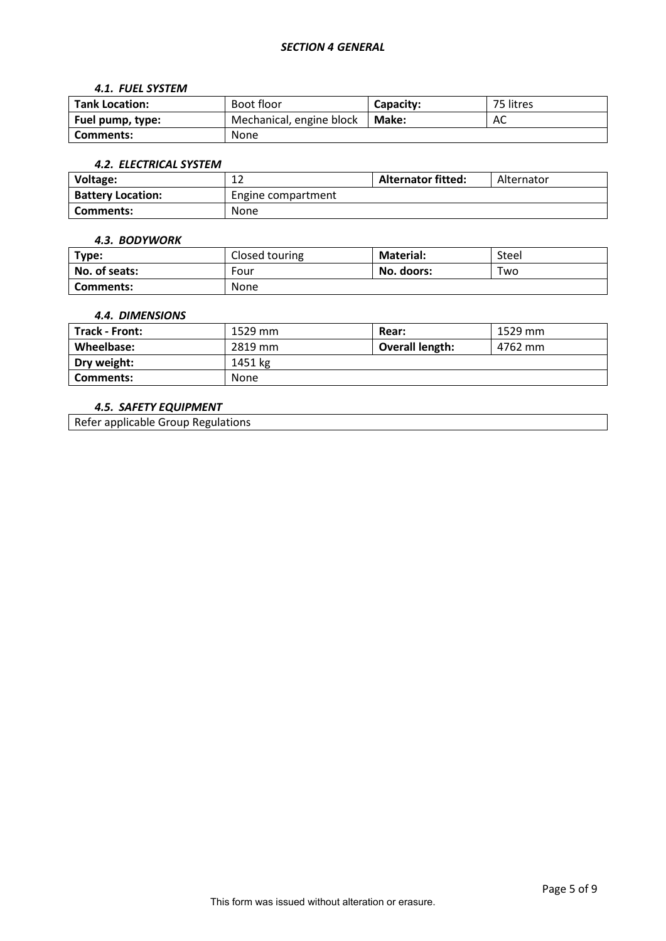#### *4.1. FUEL SYSTEM*

| <b>Tank Location:</b> | Boot floor               | Capacity: |  |
|-----------------------|--------------------------|-----------|--|
| Fuel pump, type:      | Mechanical, engine block | Make:     |  |
| Comments:             | None                     |           |  |

#### *4.2. ELECTRICAL SYSTEM*

| Voltage:                 | ∸                  | <b>Alternator fitted:</b> | Alternator |  |
|--------------------------|--------------------|---------------------------|------------|--|
| <b>Battery Location:</b> | Engine compartment |                           |            |  |
| Comments:                | None               |                           |            |  |

#### *4.3. BODYWORK*

| Type:            | Closed touring | <b>Material:</b> | Steel |
|------------------|----------------|------------------|-------|
| No. of seats:    | Four           | No. doors:       | Two   |
| <b>Comments:</b> | <b>None</b>    |                  |       |

### *4.4. DIMENSIONS*

| <b>Track - Front:</b> | 1529 mm | Rear:           | 1529 mm |
|-----------------------|---------|-----------------|---------|
| Wheelbase:            | 2819 mm | Overall length: | 4762 mm |
| Dry weight:           | 1451 kg |                 |         |
| Comments:             | None    |                 |         |

## *4.5. SAFETY EQUIPMENT*

Refer applicable Group Regulations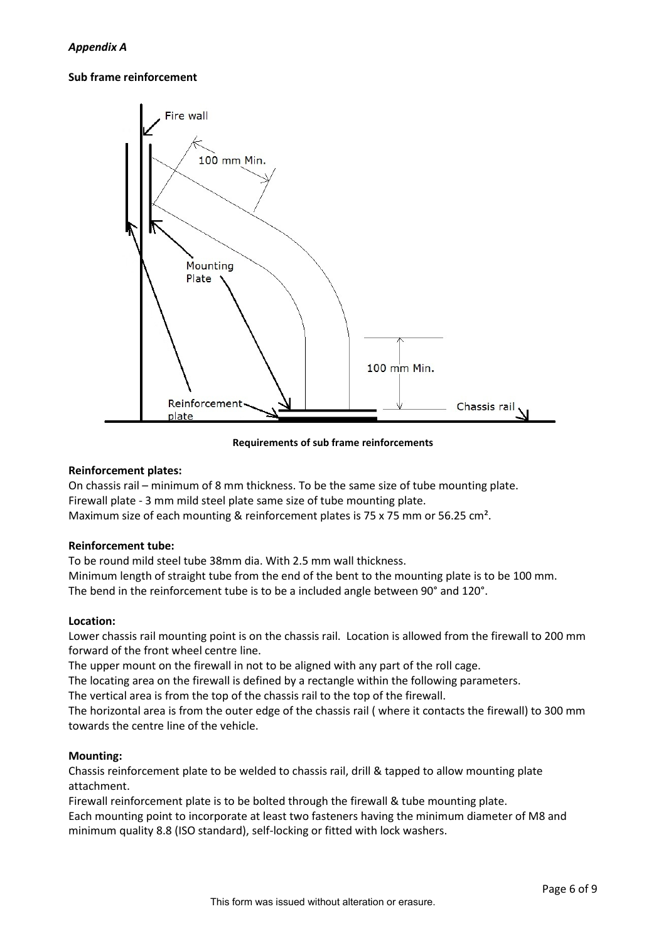### **Sub frame reinforcement**



**Requirements of sub frame reinforcements**

### **Reinforcement plates:**

On chassis rail – minimum of 8 mm thickness. To be the same size of tube mounting plate. Firewall plate - 3 mm mild steel plate same size of tube mounting plate. Maximum size of each mounting & reinforcement plates is 75 x 75 mm or 56.25 cm<sup>2</sup>.

### **Reinforcement tube:**

To be round mild steel tube 38mm dia. With 2.5 mm wall thickness.

Minimum length of straight tube from the end of the bent to the mounting plate is to be 100 mm. The bend in the reinforcement tube is to be a included angle between 90° and 120°.

### **Location:**

Lower chassis rail mounting point is on the chassis rail. Location is allowed from the firewall to 200 mm forward of the front wheel centre line.

The upper mount on the firewall in not to be aligned with any part of the roll cage.

The locating area on the firewall is defined by a rectangle within the following parameters.

The vertical area is from the top of the chassis rail to the top of the firewall.

The horizontal area is from the outer edge of the chassis rail ( where it contacts the firewall) to 300 mm towards the centre line of the vehicle.

### **Mounting:**

Chassis reinforcement plate to be welded to chassis rail, drill & tapped to allow mounting plate attachment.

Firewall reinforcement plate is to be bolted through the firewall & tube mounting plate.

Each mounting point to incorporate at least two fasteners having the minimum diameter of M8 and minimum quality 8.8 (ISO standard), self-locking or fitted with lock washers.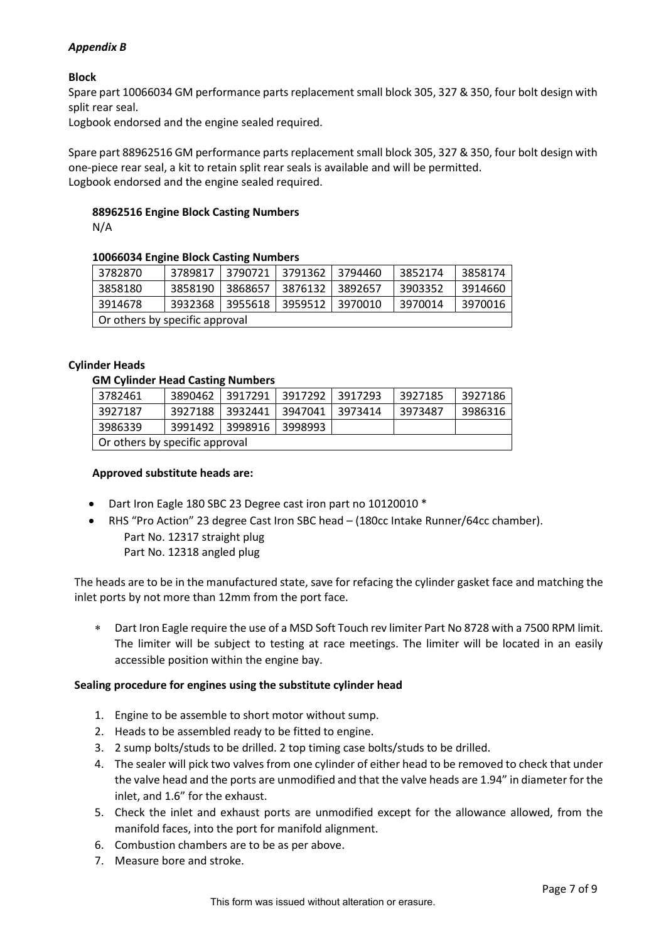# *Appendix B*

# **Block**

Spare part 10066034 GM performance parts replacement small block 305, 327 & 350, four bolt design with split rear seal.

Logbook endorsed and the engine sealed required.

Spare part 88962516 GM performance parts replacement small block 305, 327 & 350, four bolt design with one-piece rear seal, a kit to retain split rear seals is available and will be permitted. Logbook endorsed and the engine sealed required.

# **88962516 Engine Block Casting Numbers**

N/A

### **10066034 Engine Block Casting Numbers**

| 3782870                        | 3789817 | 3790721 | 3791362 | 3794460 | 3852174 | 3858174 |
|--------------------------------|---------|---------|---------|---------|---------|---------|
| 3858180                        | 3858190 | 3868657 | 3876132 | 3892657 | 3903352 | 3914660 |
| 3914678                        | 3932368 | 3955618 | 3959512 | 3970010 | 3970014 | 3970016 |
| Or others by specific approval |         |         |         |         |         |         |

### **Cylinder Heads**

## **GM Cylinder Head Casting Numbers**

| 3782461                        | 3890462 | 3917291         | 3917292 | 3917293 | 3927185 | 3927186 |
|--------------------------------|---------|-----------------|---------|---------|---------|---------|
| 3927187                        | 3927188 | 3932441         | 3947041 | 3973414 | 3973487 | 3986316 |
| 3986339                        |         | 3991492 3998916 | 3998993 |         |         |         |
| Or others by specific approval |         |                 |         |         |         |         |

### **Approved substitute heads are:**

- Dart Iron Eagle 180 SBC 23 Degree cast iron part no 10120010 \*
- RHS "Pro Action" 23 degree Cast Iron SBC head (180cc Intake Runner/64cc chamber). Part No. 12317 straight plug Part No. 12318 angled plug

The heads are to be in the manufactured state, save for refacing the cylinder gasket face and matching the inlet ports by not more than 12mm from the port face.

∗ Dart Iron Eagle require the use of a MSD Soft Touch rev limiter Part No 8728 with a 7500 RPM limit. The limiter will be subject to testing at race meetings. The limiter will be located in an easily accessible position within the engine bay.

### **Sealing procedure for engines using the substitute cylinder head**

- 1. Engine to be assemble to short motor without sump.
- 2. Heads to be assembled ready to be fitted to engine.
- 3. 2 sump bolts/studs to be drilled. 2 top timing case bolts/studs to be drilled.
- 4. The sealer will pick two valves from one cylinder of either head to be removed to check that under the valve head and the ports are unmodified and that the valve heads are 1.94" in diameter for the inlet, and 1.6" for the exhaust.
- 5. Check the inlet and exhaust ports are unmodified except for the allowance allowed, from the manifold faces, into the port for manifold alignment.
- 6. Combustion chambers are to be as per above.
- 7. Measure bore and stroke.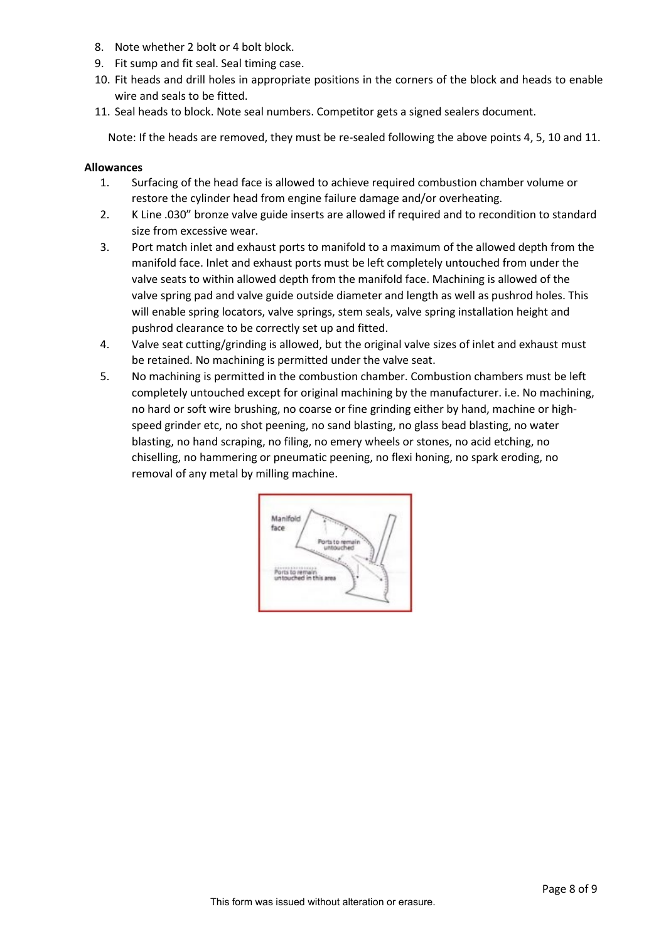- 8. Note whether 2 bolt or 4 bolt block.
- 9. Fit sump and fit seal. Seal timing case.
- 10. Fit heads and drill holes in appropriate positions in the corners of the block and heads to enable wire and seals to be fitted.
- 11. Seal heads to block. Note seal numbers. Competitor gets a signed sealers document.

Note: If the heads are removed, they must be re-sealed following the above points 4, 5, 10 and 11.

### **Allowances**

- 1. Surfacing of the head face is allowed to achieve required combustion chamber volume or restore the cylinder head from engine failure damage and/or overheating.
- 2. K Line .030" bronze valve guide inserts are allowed if required and to recondition to standard size from excessive wear.
- 3. Port match inlet and exhaust ports to manifold to a maximum of the allowed depth from the manifold face. Inlet and exhaust ports must be left completely untouched from under the valve seats to within allowed depth from the manifold face. Machining is allowed of the valve spring pad and valve guide outside diameter and length as well as pushrod holes. This will enable spring locators, valve springs, stem seals, valve spring installation height and pushrod clearance to be correctly set up and fitted.
- 4. Valve seat cutting/grinding is allowed, but the original valve sizes of inlet and exhaust must be retained. No machining is permitted under the valve seat.
- 5. No machining is permitted in the combustion chamber. Combustion chambers must be left completely untouched except for original machining by the manufacturer. i.e. No machining, no hard or soft wire brushing, no coarse or fine grinding either by hand, machine or highspeed grinder etc, no shot peening, no sand blasting, no glass bead blasting, no water blasting, no hand scraping, no filing, no emery wheels or stones, no acid etching, no chiselling, no hammering or pneumatic peening, no flexi honing, no spark eroding, no removal of any metal by milling machine.